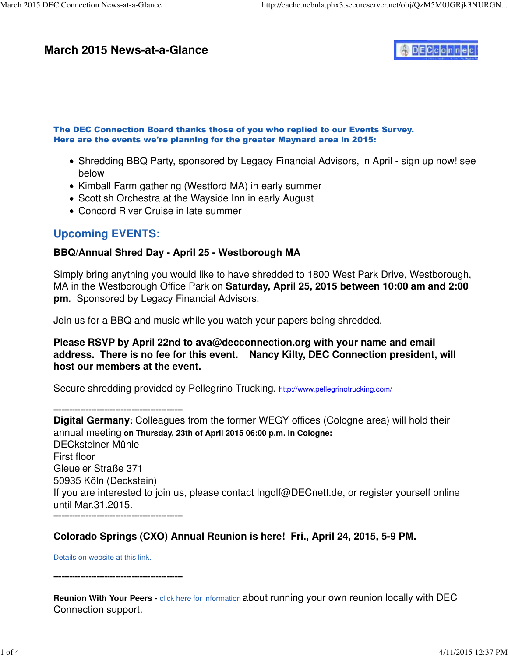### **March 2015 News-at-a-Glance**



#### The DEC Connection Board thanks those of you who replied to our Events Survey. Here are the events we're planning for the greater Maynard area in 2015:

- Shredding BBQ Party, sponsored by Legacy Financial Advisors, in April sign up now! see below
- Kimball Farm gathering (Westford MA) in early summer
- Scottish Orchestra at the Wayside Inn in early August
- Concord River Cruise in late summer

# **Upcoming EVENTS:**

### **BBQ/Annual Shred Day - April 25 - Westborough MA**

Simply bring anything you would like to have shredded to 1800 West Park Drive, Westborough, MA in the Westborough Office Park on **Saturday, April 25, 2015 between 10:00 am and 2:00 pm**. Sponsored by Legacy Financial Advisors.

Join us for a BBQ and music while you watch your papers being shredded.

**Please RSVP by April 22nd to [ava@decconnection.org w](mailto:ava@decconnection.org)ith your name and email address. There is no fee for this event. Nancy Kilty, DEC Connection president, will host our members at the event.**

Secure shredding provided by Pellegrino Trucking. [http://www.pellegrinotrucking.com/](http://www.pellegrinotrucking.com)

**------------------------------------------------**

**Digital Germany:** Colleagues from the former WEGY offices (Cologne area) will hold their annual meeting **on Thursday, 23th of April 2015 06:00 p.m. in Cologne:** DECksteiner Mühle First floor Gleueler Straße 371 50935 Köln (Deckstein) If you are interested to join us, please contact [Ingolf@DECnett.de,](mailto:Ingolf@DECnett.de) or register yourself online until Mar.31.2015. **------------------------------------------------**

### **Colorado Springs (CXO) Annual Reunion is here! Fri., April 24, 2015, 5-9 PM.**

Details on website at this link.

**------------------------------------------------**

**Reunion With Your Peers -** click here for information about running your own reunion locally with DEC Connection support.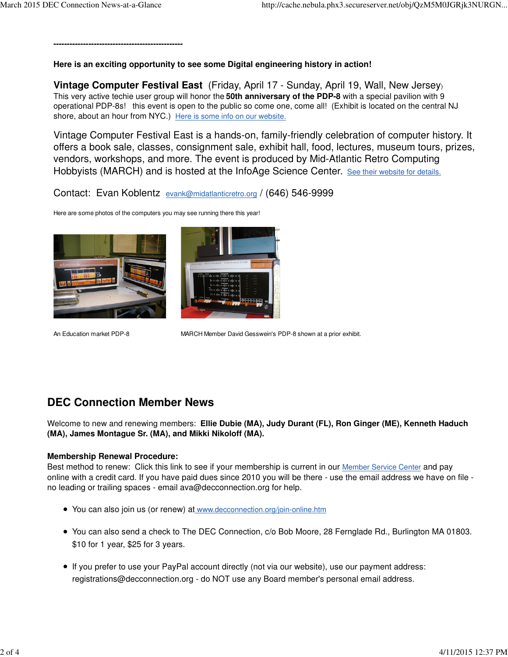**------------------------------------------------**

**Here is an exciting opportunity to see some Digital engineering history in action!**

**Vintage Computer Festival East** (Friday, April 17 - Sunday, April 19, Wall, New Jersey) This very active techie user group will honor the **50th anniversary of the PDP-8** with a special pavilion with 9 operational PDP-8s! this event is open to the public so come one, come all! (Exhibit is located on the central NJ shore, about an hour from NYC.) Here is some info on our website.

Vintage Computer Festival East is a hands-on, family-friendly celebration of computer history. It offers a book sale, classes, consignment sale, exhibit hall, food, lectures, museum tours, prizes, vendors, workshops, and more. The event is produced by Mid-Atlantic Retro Computing Hobbyists (MARCH) and is hosted at the InfoAge Science Center. See their website for details.

Contact: Evan Koblentz [evank@midatlanticretro.org](mailto:evank@midatlanticretro.org) / (646) 546-9999

Here are some photos of the computers you may see running there this year!





An Education market PDP-8 MARCH Member David Gesswein's PDP-8 shown at a prior exhibit.

# **DEC Connection Member News**

Welcome to new and renewing members: **Ellie Dubie (MA), Judy Durant (FL), Ron Ginger (ME), Kenneth Haduch (MA), James Montague Sr. (MA), and Mikki Nikoloff (MA).**

#### **Membership Renewal Procedure:**

Best method to renew: Click this link to see if your membership is current in our Member Service Center and pay online with a credit card. If you have paid dues since 2010 you will be there - use the email address we have on file no leading or trailing spaces - email [ava@decconnection.org fo](mailto:ava@decconnection.org)r help.

- You can also join us (or renew) at [www.decconnection.org/join-online.htm](http://www.decconnection.org/join-online.htm)
- You can also send a check to The DEC Connection, c/o Bob Moore, 28 Fernglade Rd., Burlington MA 01803. \$10 for 1 year, \$25 for 3 years.
- If you prefer to use your PayPal account directly (not via our website), use our payment address: [registrations@decconnection.org - d](mailto:registrations@decconnection.org)o NOT use any Board member's personal email address.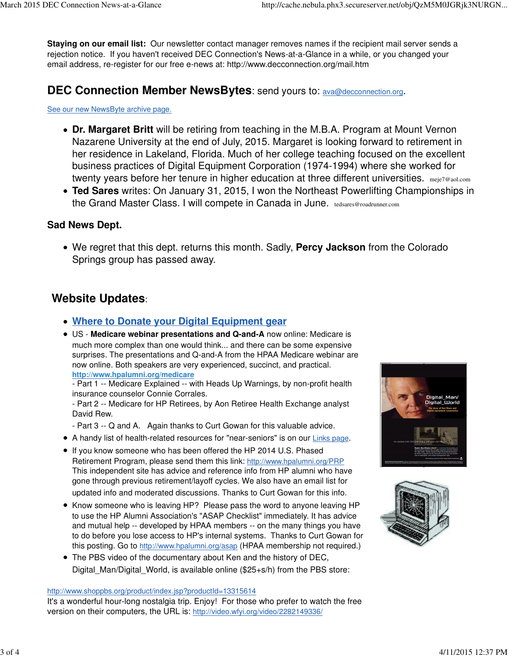**Staying on our email list:** Our newsletter contact manager removes names if the recipient mail server sends a rejection notice. If you haven't received DEC Connection's News-at-a-Glance in a while, or you changed your email address, re-register for our free e-news at: <http://www.decconnection.org/mail.htm>

### **DEC Connection Member NewsBytes**: send yours to: **[ava@decconnection.org](mailto:ava@decconnection.org)**.

#### See our new NewsByte archive page.

- **Dr. Margaret Britt** will be retiring from teaching in the M.B.A. Program at Mount Vernon Nazarene University at the end of July, 2015. Margaret is looking forward to retirement in her residence in Lakeland, Florida. Much of her college teaching focused on the excellent business practices of Digital Equipment Corporation (1974-1994) where she worked for twenty years before her tenure in higher education at three different universities. [meje7@aol.com](mailto:meje7@aol.com)
- **Ted Sares** writes: On January 31, 2015, I won the Northeast Powerlifting Championships in the Grand Master Class. I will compete in Canada in June. [tedsares@roadrunner.com](mailto:tedsares@roadrunner.com)

### **Sad News Dept.**

We regret that this dept. returns this month. Sadly, **Percy Jackson** from the Colorado Springs group has passed away.

# **Website Updates**:

- **Where to Donate your Digital Equipment gear**
- US - **Medicare webinar presentations and Q-and-A** now online: Medicare is much more complex than one would think... and there can be some expensive surprises. The presentations and Q-and-A from the HPAA Medicare webinar are now online. Both speakers are very experienced, succinct, and practical. **<http://www.hpalumni.org/medicare>**

- Part 1 -- Medicare Explained -- with Heads Up Warnings, by non-profit health insurance counselor Connie Corrales.

- Part 2 -- Medicare for HP Retirees, by Aon Retiree Health Exchange analyst David Rew.

- Part 3 -- Q and A. Again thanks to Curt Gowan for this valuable advice.

- A handy list of health-related resources for "near-seniors" is on our Links page.
- If you know someone who has been offered the HP 2014 U.S. Phased Retirement Program, please send them this link: <http://www.hpalumni.org/PRP> This independent site has advice and reference info from HP alumni who have gone through previous retirement/layoff cycles. We also have an email list for updated info and moderated discussions. Thanks to Curt Gowan for this info.
- Know someone who is leaving HP? Please pass the word to anyone leaving HP to use the HP Alumni Association's "ASAP Checklist" immediately. It has advice and mutual help -- developed by HPAA members -- on the many things you have to do before you lose access to HP's internal systems. Thanks to Curt Gowan for this posting. Go to <http://www.hpalumni.org/asap> (HPAA membership not required.)
- The PBS video of the documentary about Ken and the history of DEC, Digital\_Man/Digital\_World, is available online (\$25+s/h) from the PBS store:

#### <http://www.shoppbs.org/product/index.jsp?productId=13315614>

It's a wonderful hour-long nostalgia trip. Enjoy! For those who prefer to watch the free version on their computers, the URL is: [http://video.wfyi.org/video/2282149336/](http://video.wfyi.org/video/2282149336)